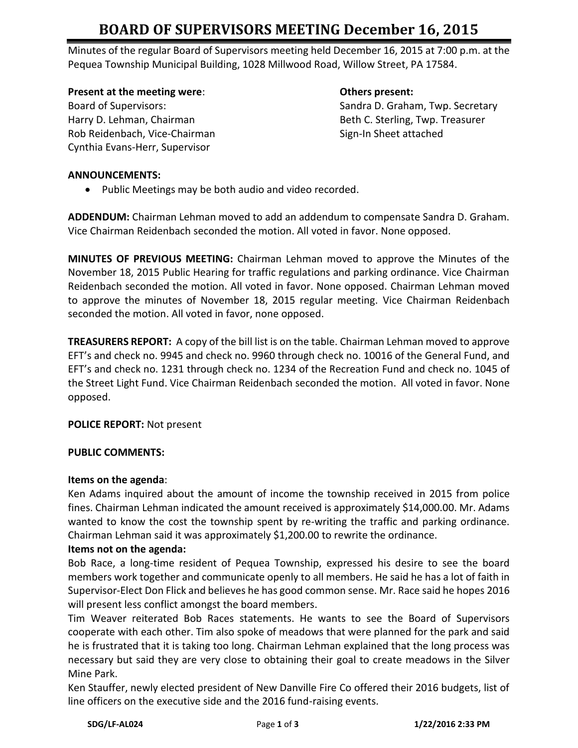# **BOARD OF SUPERVISORS MEETING December 16, 2015**

Minutes of the regular Board of Supervisors meeting held December 16, 2015 at 7:00 p.m. at the Pequea Township Municipal Building, 1028 Millwood Road, Willow Street, PA 17584.

#### **Present at the meeting were**: **Others present:**

Harry D. Lehman, Chairman Beth C. Sterling, Twp. Treasurer Rob Reidenbach, Vice-Chairman Sign-In Sheet attached Cynthia Evans-Herr, Supervisor

Board of Supervisors: Sandra D. Graham, Twp. Secretary

### **ANNOUNCEMENTS:**

• Public Meetings may be both audio and video recorded.

**ADDENDUM:** Chairman Lehman moved to add an addendum to compensate Sandra D. Graham. Vice Chairman Reidenbach seconded the motion. All voted in favor. None opposed.

**MINUTES OF PREVIOUS MEETING:** Chairman Lehman moved to approve the Minutes of the November 18, 2015 Public Hearing for traffic regulations and parking ordinance. Vice Chairman Reidenbach seconded the motion. All voted in favor. None opposed. Chairman Lehman moved to approve the minutes of November 18, 2015 regular meeting. Vice Chairman Reidenbach seconded the motion. All voted in favor, none opposed.

**TREASURERS REPORT:** A copy of the bill list is on the table. Chairman Lehman moved to approve EFT's and check no. 9945 and check no. 9960 through check no. 10016 of the General Fund, and EFT's and check no. 1231 through check no. 1234 of the Recreation Fund and check no. 1045 of the Street Light Fund. Vice Chairman Reidenbach seconded the motion. All voted in favor. None opposed.

# **POLICE REPORT:** Not present

# **PUBLIC COMMENTS:**

#### **Items on the agenda**:

Ken Adams inquired about the amount of income the township received in 2015 from police fines. Chairman Lehman indicated the amount received is approximately \$14,000.00. Mr. Adams wanted to know the cost the township spent by re-writing the traffic and parking ordinance. Chairman Lehman said it was approximately \$1,200.00 to rewrite the ordinance.

#### **Items not on the agenda:**

Bob Race, a long-time resident of Pequea Township, expressed his desire to see the board members work together and communicate openly to all members. He said he has a lot of faith in Supervisor-Elect Don Flick and believes he has good common sense. Mr. Race said he hopes 2016 will present less conflict amongst the board members.

Tim Weaver reiterated Bob Races statements. He wants to see the Board of Supervisors cooperate with each other. Tim also spoke of meadows that were planned for the park and said he is frustrated that it is taking too long. Chairman Lehman explained that the long process was necessary but said they are very close to obtaining their goal to create meadows in the Silver Mine Park.

Ken Stauffer, newly elected president of New Danville Fire Co offered their 2016 budgets, list of line officers on the executive side and the 2016 fund-raising events.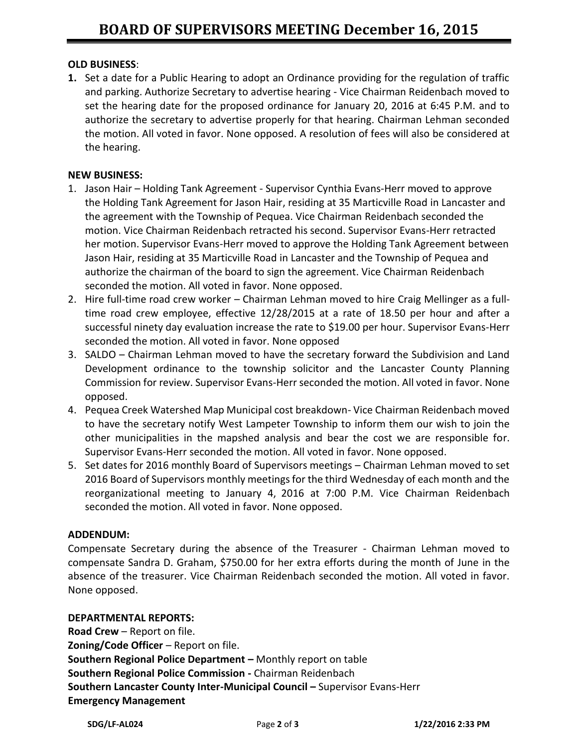#### **OLD BUSINESS**:

**1.** Set a date for a Public Hearing to adopt an Ordinance providing for the regulation of traffic and parking. Authorize Secretary to advertise hearing - Vice Chairman Reidenbach moved to set the hearing date for the proposed ordinance for January 20, 2016 at 6:45 P.M. and to authorize the secretary to advertise properly for that hearing. Chairman Lehman seconded the motion. All voted in favor. None opposed. A resolution of fees will also be considered at the hearing.

#### **NEW BUSINESS:**

- 1. Jason Hair Holding Tank Agreement Supervisor Cynthia Evans-Herr moved to approve the Holding Tank Agreement for Jason Hair, residing at 35 Marticville Road in Lancaster and the agreement with the Township of Pequea. Vice Chairman Reidenbach seconded the motion. Vice Chairman Reidenbach retracted his second. Supervisor Evans-Herr retracted her motion. Supervisor Evans-Herr moved to approve the Holding Tank Agreement between Jason Hair, residing at 35 Marticville Road in Lancaster and the Township of Pequea and authorize the chairman of the board to sign the agreement. Vice Chairman Reidenbach seconded the motion. All voted in favor. None opposed.
- 2. Hire full-time road crew worker Chairman Lehman moved to hire Craig Mellinger as a fulltime road crew employee, effective 12/28/2015 at a rate of 18.50 per hour and after a successful ninety day evaluation increase the rate to \$19.00 per hour. Supervisor Evans-Herr seconded the motion. All voted in favor. None opposed
- 3. SALDO Chairman Lehman moved to have the secretary forward the Subdivision and Land Development ordinance to the township solicitor and the Lancaster County Planning Commission for review. Supervisor Evans-Herr seconded the motion. All voted in favor. None opposed.
- 4. Pequea Creek Watershed Map Municipal cost breakdown- Vice Chairman Reidenbach moved to have the secretary notify West Lampeter Township to inform them our wish to join the other municipalities in the mapshed analysis and bear the cost we are responsible for. Supervisor Evans-Herr seconded the motion. All voted in favor. None opposed.
- 5. Set dates for 2016 monthly Board of Supervisors meetings Chairman Lehman moved to set 2016 Board of Supervisors monthly meetings for the third Wednesday of each month and the reorganizational meeting to January 4, 2016 at 7:00 P.M. Vice Chairman Reidenbach seconded the motion. All voted in favor. None opposed.

# **ADDENDUM:**

Compensate Secretary during the absence of the Treasurer - Chairman Lehman moved to compensate Sandra D. Graham, \$750.00 for her extra efforts during the month of June in the absence of the treasurer. Vice Chairman Reidenbach seconded the motion. All voted in favor. None opposed.

#### **DEPARTMENTAL REPORTS:**

**Road Crew** – Report on file. **Zoning/Code Officer** – Report on file. **Southern Regional Police Department –** Monthly report on table **Southern Regional Police Commission -** Chairman Reidenbach **Southern Lancaster County Inter-Municipal Council –** Supervisor Evans-Herr **Emergency Management**